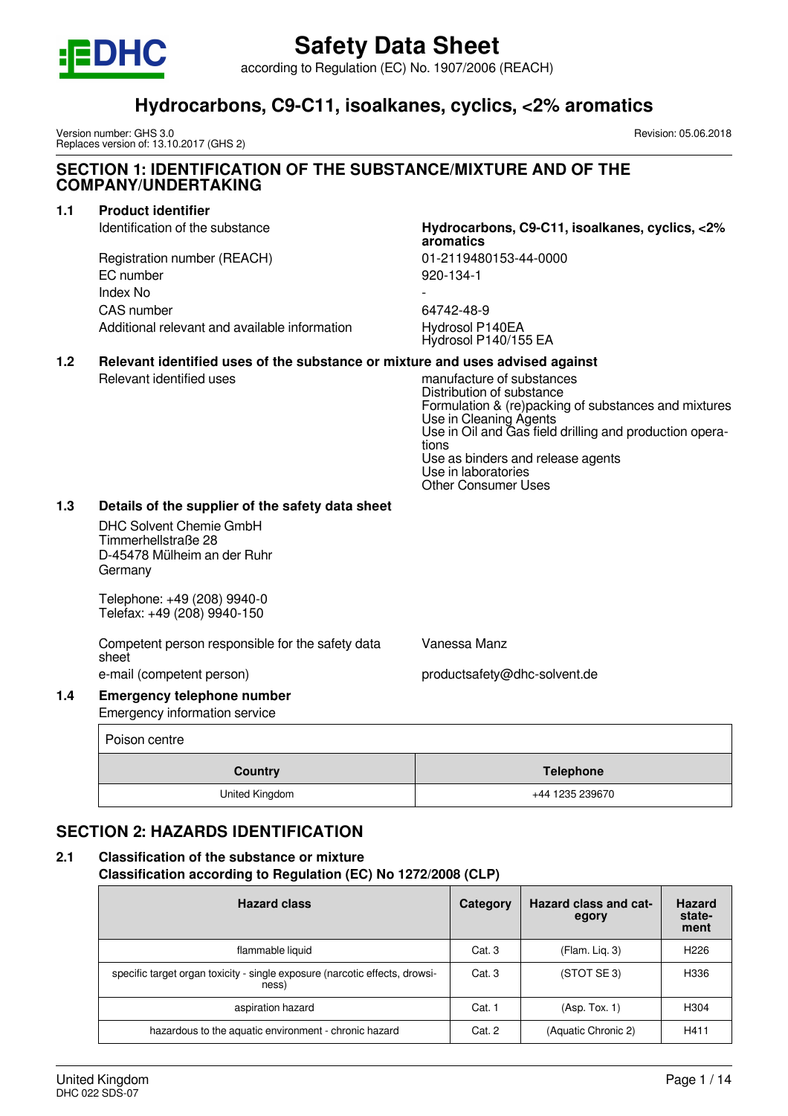

according to Regulation (EC) No. 1907/2006 (REACH)

# **Hydrocarbons, C9-C11, isoalkanes, cyclics, <2% aromatics**

Version number: GHS 3.0 Replaces version of: 13.10.2017 (GHS 2) Revision: 05.06.2018

# **SECTION 1: IDENTIFICATION OF THE SUBSTANCE/MIXTURE AND OF THE COMPANY/UNDERTAKING**

# **1.1 Product identifier**

Registration number (REACH) 01-2119480153-44-0000 EC number 920-134-1 Index No - CAS number 64742-48-9 Additional relevant and available information Hydrosol P140EA

# Identification of the substance **Hydrocarbons, C9-C11, isoalkanes, cyclics, <2% aromatics**

Hydrosol P140/155 EA

# **1.2 Relevant identified uses of the substance or mixture and uses advised against**

Relevant identified uses manufacture of substances Distribution of substance Formulation & (re)packing of substances and mixtures Use in Cleaning Agents Use in Oil and Gas field drilling and production operations Use as binders and release agents Use in laboratories Other Consumer Uses

## **1.3 Details of the supplier of the safety data sheet**

DHC Solvent Chemie GmbH Timmerhellstraße 28 D-45478 Mülheim an der Ruhr Germany

Telephone: +49 (208) 9940-0 Telefax: +49 (208) 9940-150

Competent person responsible for the safety data sheet e-mail (competent person) e-mail (competent person)

Vanessa Manz

### **1.4 Emergency telephone number** Emergency information service

Poison centre **Country Country Country Country Country Country Country Country Country Country Country Country Countries Countries Countries Countries Countries Countries Countries Countries Countries Countries Countries Countries Count** United Kingdom **1235 239670** 

# **SECTION 2: HAZARDS IDENTIFICATION**

# **2.1 Classification of the substance or mixture**

**Classification according to Regulation (EC) No 1272/2008 (CLP)**

| <b>Hazard class</b>                                                                  | Category | <b>Hazard class and cat-</b><br>egory | <b>Hazard</b><br>state-<br>ment |
|--------------------------------------------------------------------------------------|----------|---------------------------------------|---------------------------------|
| flammable liquid                                                                     | Cat. 3   | (Flam. Liq. 3)                        | H <sub>226</sub>                |
| specific target organ toxicity - single exposure (narcotic effects, drowsi-<br>ness) | Cat. 3   | (STOT SE 3)                           | H336                            |
| aspiration hazard                                                                    | Cat. 1   | (Asp. Tox. 1)                         | H <sub>304</sub>                |
| hazardous to the aquatic environment - chronic hazard                                | Cat. 2   | (Aquatic Chronic 2)                   | H411                            |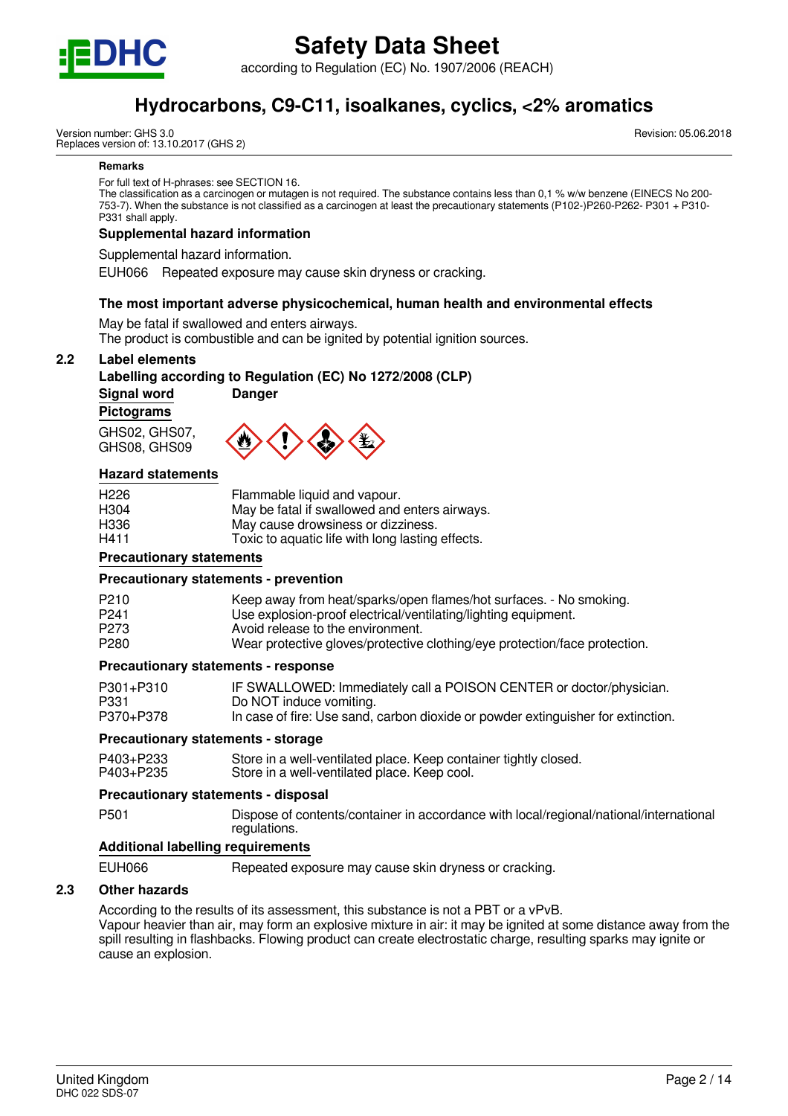

according to Regulation (EC) No. 1907/2006 (REACH)

# **Hydrocarbons, C9-C11, isoalkanes, cyclics, <2% aromatics**

Version number: GHS 3.0 Replaces version of: 13.10.2017 (GHS 2) Revision: 05.06.2018

#### **Remarks**

For full text of H-phrases: see SECTION 16.

The classification as a carcinogen or mutagen is not required. The substance contains less than 0,1 % w/w benzene (EINECS No 200- 753-7). When the substance is not classified as a carcinogen at least the precautionary statements (P102-)P260-P262- P301 + P310- P331 shall apply.

## **Supplemental hazard information**

Supplemental hazard information.

EUH066 Repeated exposure may cause skin dryness or cracking.

#### **The most important adverse physicochemical, human health and environmental effects**

May be fatal if swallowed and enters airways.

The product is combustible and can be ignited by potential ignition sources.

#### **2.2 Label elements**

#### **Labelling according to Regulation (EC) No 1272/2008 (CLP)**

**Signal word Danger**

**Pictograms**

GHS02, GHS07, GHS08, GHS09



#### **Hazard statements**

| H <sub>226</sub> | Flammable liquid and vapour.                     |
|------------------|--------------------------------------------------|
| H <sub>304</sub> | May be fatal if swallowed and enters airways.    |
| H336             | May cause drowsiness or dizziness.               |
| H411             | Toxic to aquatic life with long lasting effects. |

### **Precautionary statements**

#### **Precautionary statements - prevention**

| P <sub>210</sub> | Keep away from heat/sparks/open flames/hot surfaces. - No smoking.         |
|------------------|----------------------------------------------------------------------------|
| P <sub>241</sub> | Use explosion-proof electrical/ventilating/lighting equipment.             |
| P <sub>273</sub> | Avoid release to the environment.                                          |
| P <sub>280</sub> | Wear protective gloves/protective clothing/eye protection/face protection. |

#### **Precautionary statements - response**

| P301+P310 | IF SWALLOWED: Immediately call a POISON CENTER or doctor/physician.              |
|-----------|----------------------------------------------------------------------------------|
| P331      | Do NOT induce vomiting.                                                          |
| P370+P378 | In case of fire: Use sand, carbon dioxide or powder extinguisher for extinction. |

#### **Precautionary statements - storage**

| P403+P233 | Store in a well-ventilated place. Keep container tightly closed. |
|-----------|------------------------------------------------------------------|
| P403+P235 | Store in a well-ventilated place. Keep cool.                     |

#### **Precautionary statements - disposal**

P501 Dispose of contents/container in accordance with local/regional/national/international regulations.

## **Additional labelling requirements**

EUH066 Repeated exposure may cause skin dryness or cracking.

## **2.3 Other hazards**

According to the results of its assessment, this substance is not a PBT or a vPvB. Vapour heavier than air, may form an explosive mixture in air: it may be ignited at some distance away from the spill resulting in flashbacks. Flowing product can create electrostatic charge, resulting sparks may ignite or cause an explosion.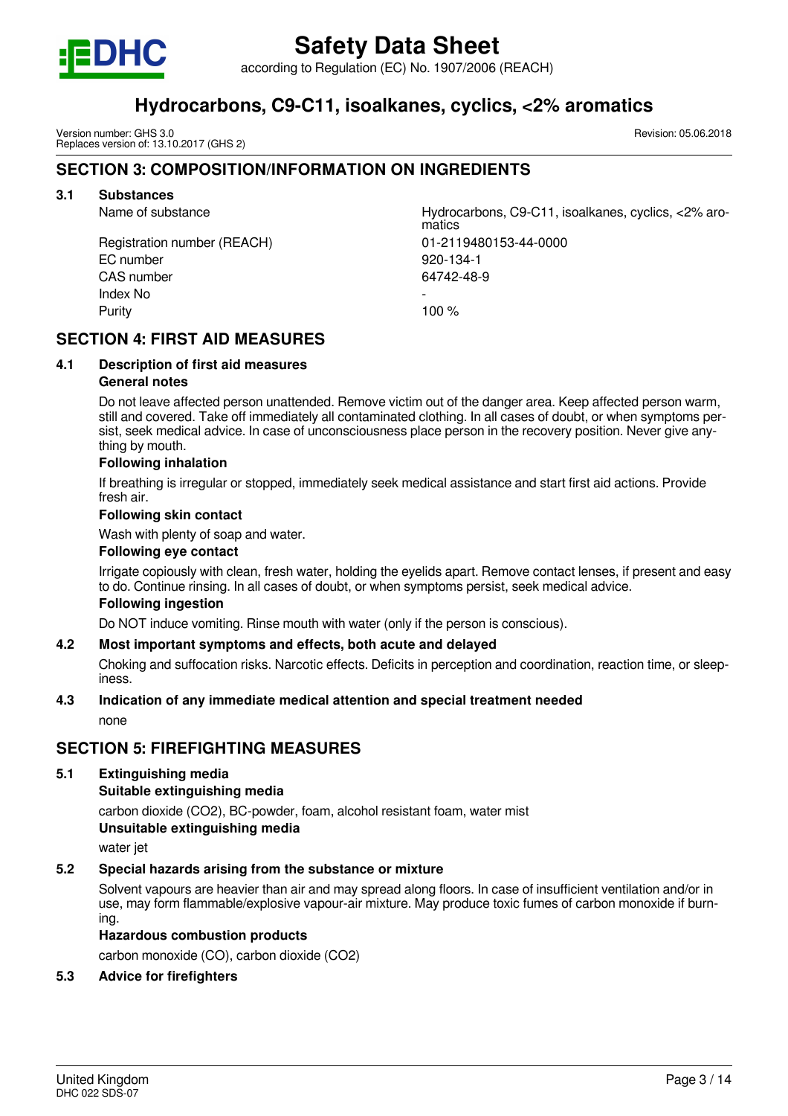

according to Regulation (EC) No. 1907/2006 (REACH)

# **Hydrocarbons, C9-C11, isoalkanes, cyclics, <2% aromatics**

Version number: GHS 3.0 Replaces version of: 13.10.2017 (GHS 2)

# **SECTION 3: COMPOSITION/INFORMATION ON INGREDIENTS**

# **3.1 Substances**

Name of substance Hydrocarbons, C9-C11, isoalkanes, cyclics, <2% aromatics Registration number (REACH) 01-2119480153-44-0000 EC number 920-134-1 CAS number 64742-48-9 Index No Purity **100 %** 

# **SECTION 4: FIRST AID MEASURES**

# **4.1 Description of first aid measures**

# **General notes**

Do not leave affected person unattended. Remove victim out of the danger area. Keep affected person warm, still and covered. Take off immediately all contaminated clothing. In all cases of doubt, or when symptoms persist, seek medical advice. In case of unconsciousness place person in the recovery position. Never give anything by mouth.

## **Following inhalation**

If breathing is irregular or stopped, immediately seek medical assistance and start first aid actions. Provide fresh air.

## **Following skin contact**

Wash with plenty of soap and water.

### **Following eye contact**

Irrigate copiously with clean, fresh water, holding the eyelids apart. Remove contact lenses, if present and easy to do. Continue rinsing. In all cases of doubt, or when symptoms persist, seek medical advice.

# **Following ingestion**

Do NOT induce vomiting. Rinse mouth with water (only if the person is conscious).

# **4.2 Most important symptoms and effects, both acute and delayed**

Choking and suffocation risks. Narcotic effects. Deficits in perception and coordination, reaction time, or sleepiness.

## **4.3 Indication of any immediate medical attention and special treatment needed**

none

# **SECTION 5: FIREFIGHTING MEASURES**

## **5.1 Extinguishing media**

## **Suitable extinguishing media**

carbon dioxide (CO2), BC-powder, foam, alcohol resistant foam, water mist **Unsuitable extinguishing media**

water jet

## **5.2 Special hazards arising from the substance or mixture**

Solvent vapours are heavier than air and may spread along floors. In case of insufficient ventilation and/or in use, may form flammable/explosive vapour-air mixture. May produce toxic fumes of carbon monoxide if burning.

## **Hazardous combustion products**

carbon monoxide (CO), carbon dioxide (CO2)

## **5.3 Advice for firefighters**

Revision: 05.06.2018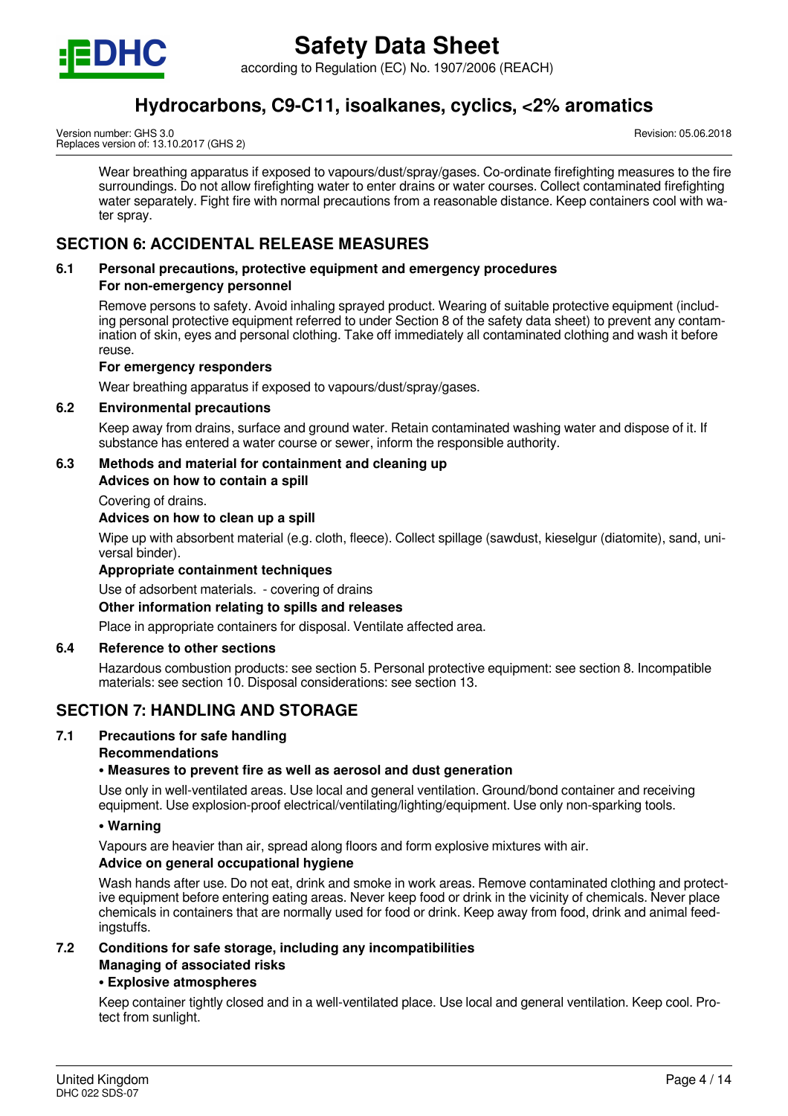

according to Regulation (EC) No. 1907/2006 (REACH)

# **Hydrocarbons, C9-C11, isoalkanes, cyclics, <2% aromatics**

Version number: GHS 3.0 Replaces version of: 13.10.2017 (GHS 2) Revision: 05.06.2018

Wear breathing apparatus if exposed to vapours/dust/spray/gases. Co-ordinate firefighting measures to the fire surroundings. Do not allow firefighting water to enter drains or water courses. Collect contaminated firefighting water separately. Fight fire with normal precautions from a reasonable distance. Keep containers cool with water spray.

# **SECTION 6: ACCIDENTAL RELEASE MEASURES**

# **6.1 Personal precautions, protective equipment and emergency procedures**

# **For non-emergency personnel**

Remove persons to safety. Avoid inhaling sprayed product. Wearing of suitable protective equipment (including personal protective equipment referred to under Section 8 of the safety data sheet) to prevent any contamination of skin, eyes and personal clothing. Take off immediately all contaminated clothing and wash it before reuse.

# **For emergency responders**

Wear breathing apparatus if exposed to vapours/dust/spray/gases.

# **6.2 Environmental precautions**

Keep away from drains, surface and ground water. Retain contaminated washing water and dispose of it. If substance has entered a water course or sewer, inform the responsible authority.

# **6.3 Methods and material for containment and cleaning up**

**Advices on how to contain a spill**

Covering of drains.

# **Advices on how to clean up a spill**

Wipe up with absorbent material (e.g. cloth, fleece). Collect spillage (sawdust, kieselgur (diatomite), sand, universal binder).

## **Appropriate containment techniques**

Use of adsorbent materials. - covering of drains

## **Other information relating to spills and releases**

Place in appropriate containers for disposal. Ventilate affected area.

## **6.4 Reference to other sections**

Hazardous combustion products: see section 5. Personal protective equipment: see section 8. Incompatible materials: see section 10. Disposal considerations: see section 13.

# **SECTION 7: HANDLING AND STORAGE**

## **7.1 Precautions for safe handling**

## **Recommendations**

## **• Measures to prevent fire as well as aerosol and dust generation**

Use only in well-ventilated areas. Use local and general ventilation. Ground/bond container and receiving equipment. Use explosion-proof electrical/ventilating/lighting/equipment. Use only non-sparking tools.

## **• Warning**

Vapours are heavier than air, spread along floors and form explosive mixtures with air.

## **Advice on general occupational hygiene**

Wash hands after use. Do not eat, drink and smoke in work areas. Remove contaminated clothing and protective equipment before entering eating areas. Never keep food or drink in the vicinity of chemicals. Never place chemicals in containers that are normally used for food or drink. Keep away from food, drink and animal feedingstuffs.

#### **7.2 Conditions for safe storage, including any incompatibilities Managing of associated risks**

## **• Explosive atmospheres**

Keep container tightly closed and in a well-ventilated place. Use local and general ventilation. Keep cool. Protect from sunlight.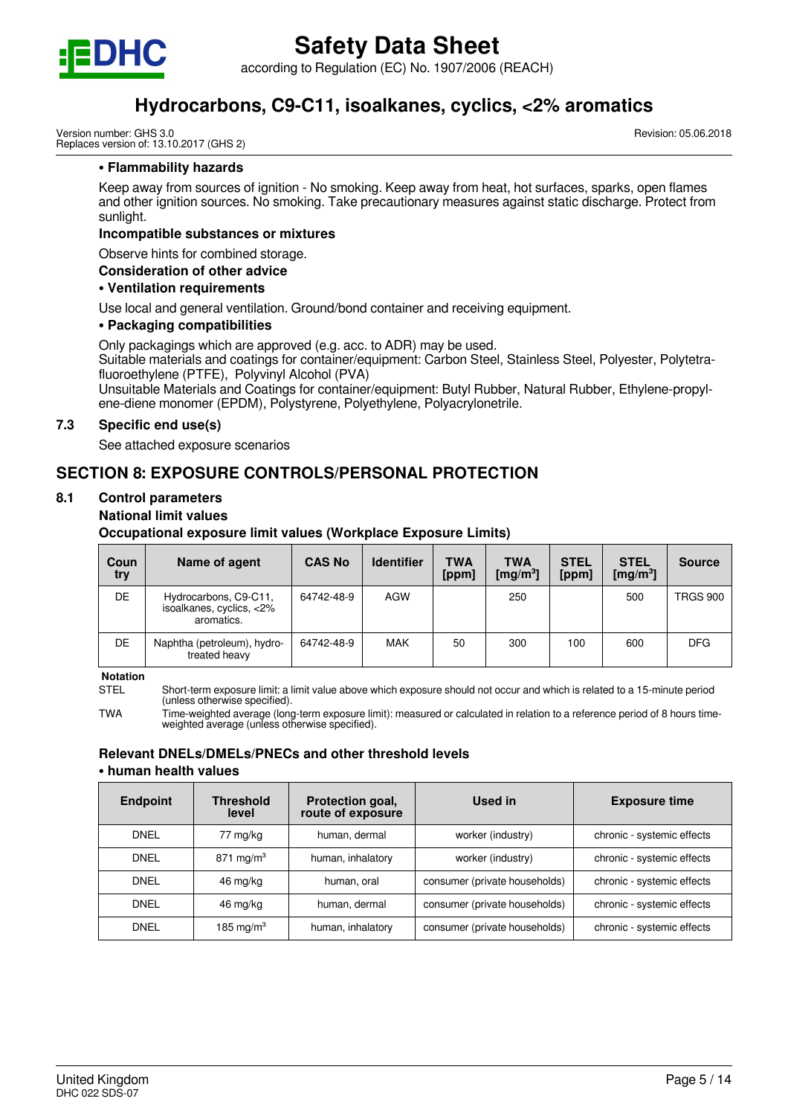

according to Regulation (EC) No. 1907/2006 (REACH)

# **Hydrocarbons, C9-C11, isoalkanes, cyclics, <2% aromatics**

Version number: GHS 3.0 Replaces version of: 13.10.2017 (GHS 2) Revision: 05.06.2018

#### **• Flammability hazards**

Keep away from sources of ignition - No smoking. Keep away from heat, hot surfaces, sparks, open flames and other ignition sources. No smoking. Take precautionary measures against static discharge. Protect from sunlight.

#### **Incompatible substances or mixtures**

Observe hints for combined storage.

#### **Consideration of other advice**

#### **• Ventilation requirements**

Use local and general ventilation. Ground/bond container and receiving equipment.

### **• Packaging compatibilities**

Only packagings which are approved (e.g. acc. to ADR) may be used.

Suitable materials and coatings for container/equipment: Carbon Steel, Stainless Steel, Polyester, Polytetrafluoroethylene (PTFE), Polyvinyl Alcohol (PVA)

Unsuitable Materials and Coatings for container/equipment: Butyl Rubber, Natural Rubber, Ethylene-propylene-diene monomer (EPDM), Polystyrene, Polyethylene, Polyacrylonetrile.

## **7.3 Specific end use(s)**

See attached exposure scenarios

# **SECTION 8: EXPOSURE CONTROLS/PERSONAL PROTECTION**

# **8.1 Control parameters**

#### **National limit values**

**Occupational exposure limit values (Workplace Exposure Limits)**

| Coun<br>try | Name of agent                                                   | <b>CAS No</b> | <b>Identifier</b> | <b>TWA</b><br>[ppm] | TWA<br>[mg/m <sup>3</sup> ] | <b>STEL</b><br>[ppm] | <b>STEL</b><br>[mg/m <sup>3</sup> ] | <b>Source</b>   |
|-------------|-----------------------------------------------------------------|---------------|-------------------|---------------------|-----------------------------|----------------------|-------------------------------------|-----------------|
| DE          | Hydrocarbons, C9-C11,<br>isoalkanes, cyclics, <2%<br>aromatics. | 64742-48-9    | AGW               |                     | 250                         |                      | 500                                 | <b>TRGS 900</b> |
| DE          | Naphtha (petroleum), hydro-<br>treated heavy                    | 64742-48-9    | <b>MAK</b>        | 50                  | 300                         | 100                  | 600                                 | <b>DFG</b>      |

**Notation**

STEL Short-term exposure limit: a limit value above which exposure should not occur and which is related to a 15-minute period (unless otherwise specified).

TWA Time-weighted average (long-term exposure limit): measured or calculated in relation to a reference period of 8 hours timeweighted average (unless otherwise specified).

#### **Relevant DNELs/DMELs/PNECs and other threshold levels • human health values**

| <b>Endpoint</b> | <b>Threshold</b><br>level | Protection goal,<br>route of exposure | Used in                       | <b>Exposure time</b>       |
|-----------------|---------------------------|---------------------------------------|-------------------------------|----------------------------|
| <b>DNEL</b>     | 77 mg/kg                  | human, dermal                         | worker (industry)             | chronic - systemic effects |
| <b>DNEL</b>     | 871 mg/m <sup>3</sup>     | human, inhalatory                     | worker (industry)             | chronic - systemic effects |
| <b>DNEL</b>     | 46 mg/kg                  | human, oral                           | consumer (private households) | chronic - systemic effects |
| <b>DNEL</b>     | 46 mg/kg                  | human, dermal                         | consumer (private households) | chronic - systemic effects |
| <b>DNEL</b>     | 185 mg/m $3$              | human, inhalatory                     | consumer (private households) | chronic - systemic effects |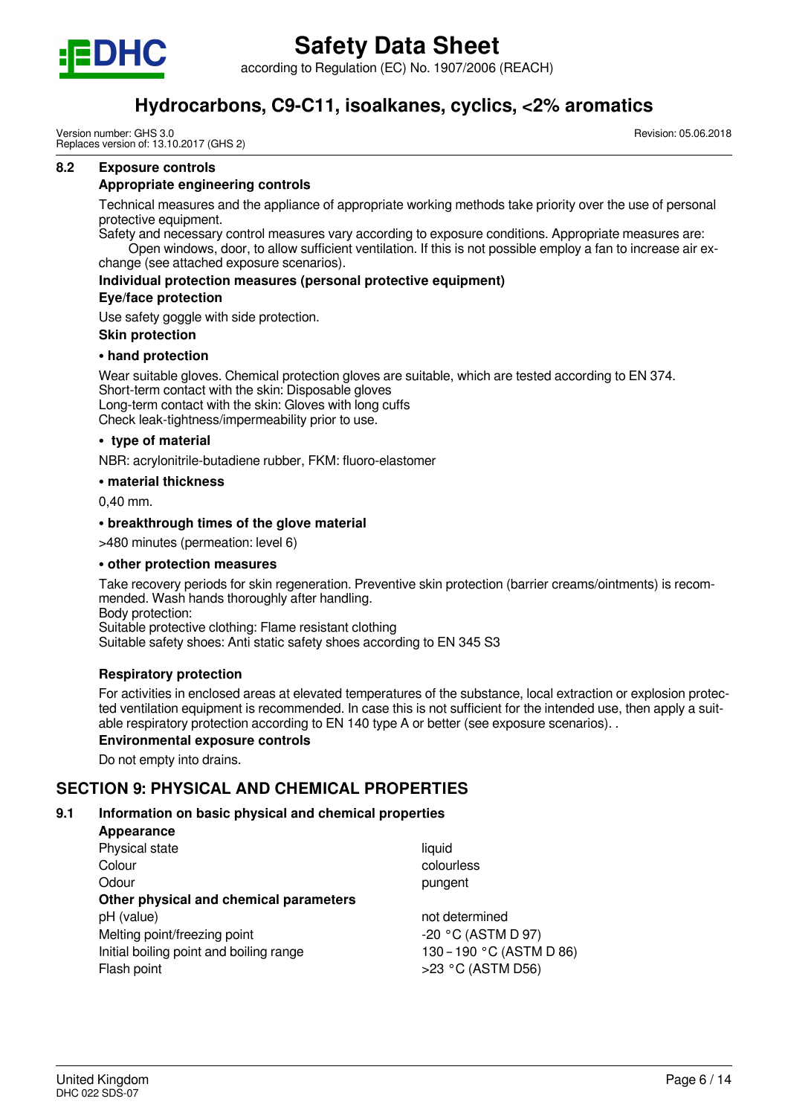

according to Regulation (EC) No. 1907/2006 (REACH)

# **Hydrocarbons, C9-C11, isoalkanes, cyclics, <2% aromatics**

Version number: GHS 3.0 Replaces version of: 13.10.2017 (GHS 2) Revision: 05.06.2018

#### **8.2 Exposure controls**

#### **Appropriate engineering controls**

Technical measures and the appliance of appropriate working methods take priority over the use of personal protective equipment.

Safety and necessary control measures vary according to exposure conditions. Appropriate measures are: Open windows, door, to allow sufficient ventilation. If this is not possible employ a fan to increase air exchange (see attached exposure scenarios).

**Individual protection measures (personal protective equipment)**

# **Eye/face protection**

Use safety goggle with side protection.

### **Skin protection**

#### **• hand protection**

Wear suitable gloves. Chemical protection gloves are suitable, which are tested according to EN 374. Short-term contact with the skin: Disposable gloves Long-term contact with the skin: Gloves with long cuffs Check leak-tightness/impermeability prior to use.

#### **• type of material**

NBR: acrylonitrile-butadiene rubber, FKM: fluoro-elastomer

#### **• material thickness**

0,40 mm.

#### **• breakthrough times of the glove material**

>480 minutes (permeation: level 6)

#### **• other protection measures**

Take recovery periods for skin regeneration. Preventive skin protection (barrier creams/ointments) is recommended. Wash hands thoroughly after handling. Body protection: Suitable protective clothing: Flame resistant clothing

Suitable safety shoes: Anti static safety shoes according to EN 345 S3

#### **Respiratory protection**

For activities in enclosed areas at elevated temperatures of the substance, local extraction or explosion protected ventilation equipment is recommended. In case this is not sufficient for the intended use, then apply a suitable respiratory protection according to EN 140 type A or better (see exposure scenarios). .

#### **Environmental exposure controls**

Do not empty into drains.

# **SECTION 9: PHYSICAL AND CHEMICAL PROPERTIES**

## **9.1 Information on basic physical and chemical properties**

| Appearance                              |                          |
|-----------------------------------------|--------------------------|
| Physical state                          | liquid                   |
| Colour                                  | colourless               |
| Odour                                   | pungent                  |
| Other physical and chemical parameters  |                          |
| pH (value)                              | not determined           |
| Melting point/freezing point            | -20 °C (ASTM D 97)       |
| Initial boiling point and boiling range | 130 - 190 °C (ASTM D 86) |
| Flash point                             | >23 °C (ASTM D56)        |
|                                         |                          |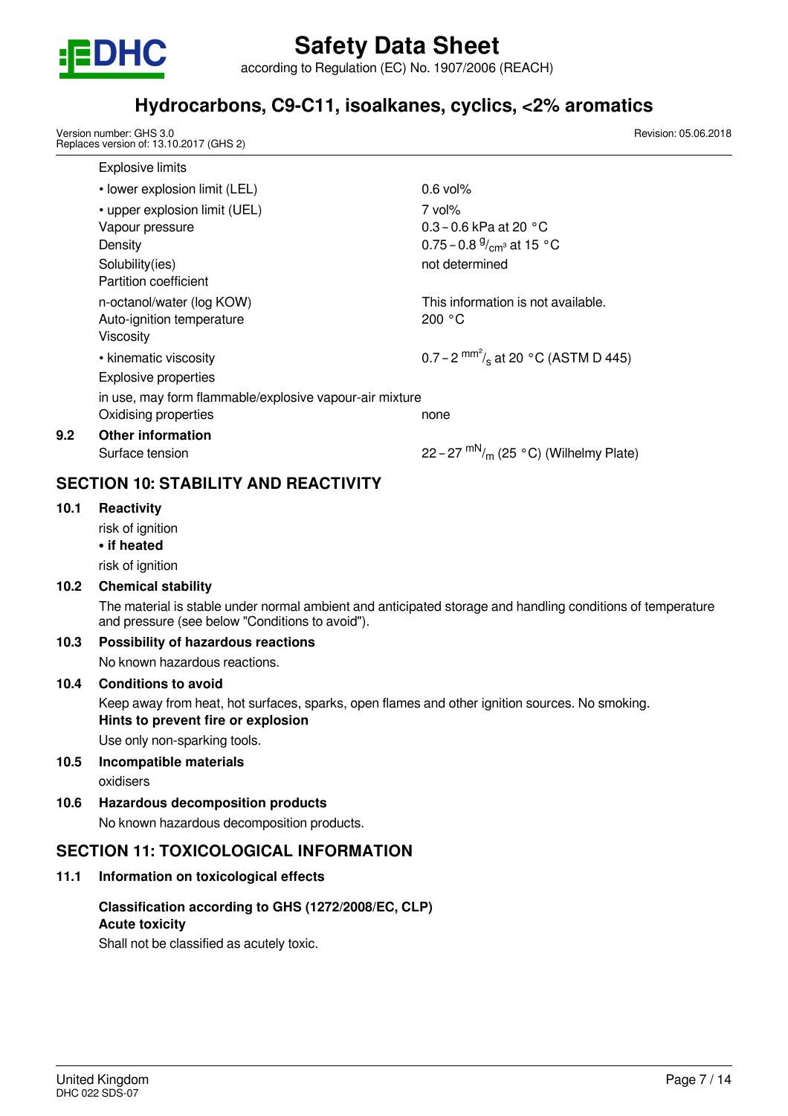

according to Regulation (EC) No. 1907/2006 (REACH)

# **Hydrocarbons, C9-C11, isoalkanes, cyclics, <2% aromatics**

Version number: GHS 3.0 Replaces version of: 13.10.2017 (GHS 2)

Explosive limits • lower explosion limit (LEL) 0.6 vol% • upper explosion limit (UEL) 7 vol% Vapour pressure 0.3 – 0.6 kPa at 20 °C Density Density  $0.75 - 0.8 \frac{9}{cm^3}$  at 15 °C Solubility(ies) and the solubility(ies) and the solubility(ies) and the solubility(ies) and the solubility(ies Partition coefficient n-octanol/water (log KOW) more than the This information is not available. Auto-ignition temperature 200 °C Viscosity • kinematic viscosity 0.7 – 2  $^{mm^2}/_s$  at 20 °C (ASTM D 445) Explosive properties in use, may form flammable/explosive vapour-air mixture Oxidising properties none **9.2 Other information** Surface tension 22 – 27  $\rm{mN}_{/m}$  (25 °C) (Wilhelmy Plate)

# **SECTION 10: STABILITY AND REACTIVITY**

# **10.1 Reactivity**

risk of ianition

**• if heated**

risk of ignition

# **10.2 Chemical stability**

The material is stable under normal ambient and anticipated storage and handling conditions of temperature and pressure (see below "Conditions to avoid").

# **10.3 Possibility of hazardous reactions**

No known hazardous reactions.

# **10.4 Conditions to avoid**

Keep away from heat, hot surfaces, sparks, open flames and other ignition sources. No smoking. **Hints to prevent fire or explosion**

Use only non-sparking tools.

# **10.5 Incompatible materials**

oxidisers

**10.6 Hazardous decomposition products**

No known hazardous decomposition products.

# **SECTION 11: TOXICOLOGICAL INFORMATION**

# **11.1 Information on toxicological effects**

# **Classification according to GHS (1272/2008/EC, CLP) Acute toxicity**

Shall not be classified as acutely toxic.

Revision: 05.06.2018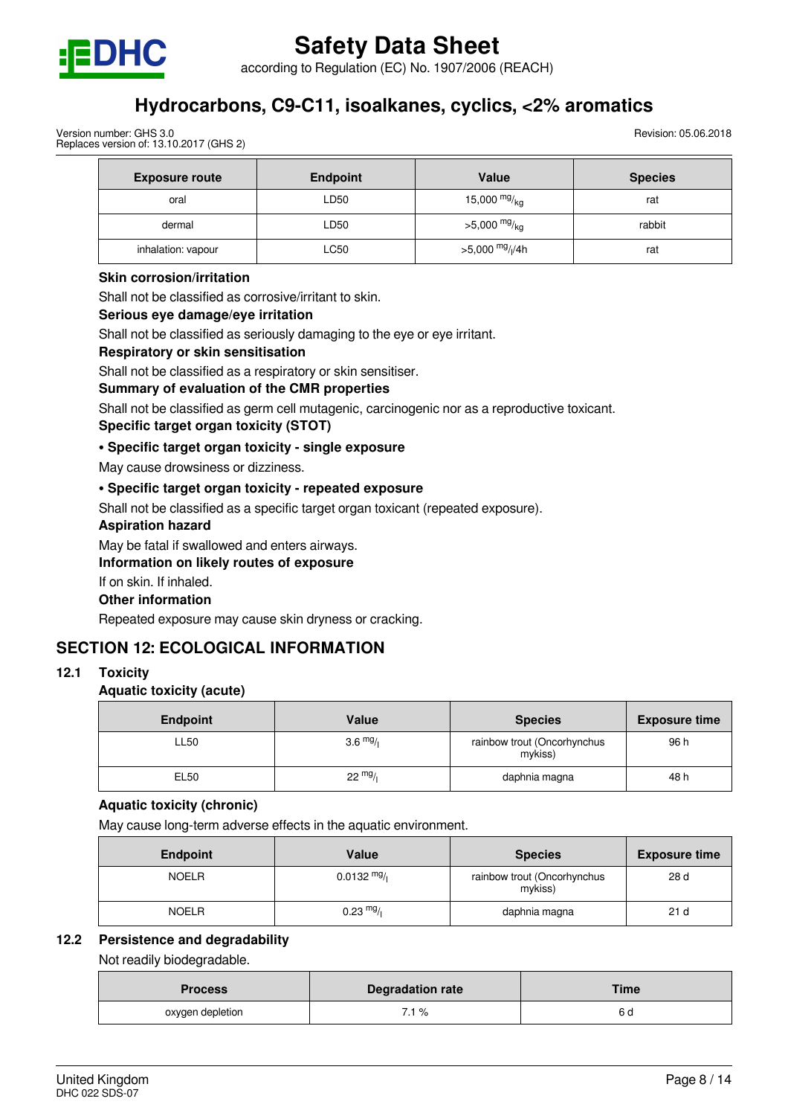

according to Regulation (EC) No. 1907/2006 (REACH)

# **Hydrocarbons, C9-C11, isoalkanes, cyclics, <2% aromatics**

Version number: GHS 3.0 Replaces version of: 13.10.2017 (GHS 2) Revision: 05.06.2018

| <b>Exposure route</b> | <b>Endpoint</b> | Value                       | <b>Species</b> |
|-----------------------|-----------------|-----------------------------|----------------|
| oral                  | LD50            | 15,000 $mg/kg$              | rat            |
| dermal                | LD50            | $>5,000$ mg/ <sub>kg</sub>  | rabbit         |
| inhalation: vapour    | LC50            | >5,000 mg/ <sub>l</sub> /4h | rat            |

## **Skin corrosion/irritation**

Shall not be classified as corrosive/irritant to skin.

# **Serious eye damage/eye irritation**

Shall not be classified as seriously damaging to the eye or eye irritant.

#### **Respiratory or skin sensitisation**

Shall not be classified as a respiratory or skin sensitiser.

## **Summary of evaluation of the CMR properties**

Shall not be classified as germ cell mutagenic, carcinogenic nor as a reproductive toxicant.

# **Specific target organ toxicity (STOT)**

## **• Specific target organ toxicity - single exposure**

May cause drowsiness or dizziness.

# **• Specific target organ toxicity - repeated exposure**

Shall not be classified as a specific target organ toxicant (repeated exposure).

#### **Aspiration hazard**

May be fatal if swallowed and enters airways.

## **Information on likely routes of exposure**

If on skin. If inhaled.

## **Other information**

Repeated exposure may cause skin dryness or cracking.

# **SECTION 12: ECOLOGICAL INFORMATION**

# **12.1 Toxicity**

# **Aquatic toxicity (acute)**

| <b>Endpoint</b> | Value              | <b>Species</b>                         | <b>Exposure time</b> |
|-----------------|--------------------|----------------------------------------|----------------------|
| LL50            | $3.6 \frac{mg}{l}$ | rainbow trout (Oncorhynchus<br>mykiss) | 96 h                 |
| EL50            | $22 \frac{mg}{l}$  | daphnia magna                          | 48 h                 |

## **Aquatic toxicity (chronic)**

May cause long-term adverse effects in the aquatic environment.

| <b>Endpoint</b> | Value                 | <b>Species</b>                         | <b>Exposure time</b> |
|-----------------|-----------------------|----------------------------------------|----------------------|
| <b>NOELR</b>    | $0.0132 \frac{mg}{l}$ | rainbow trout (Oncorhynchus<br>mykiss) | 28 d                 |
| <b>NOELR</b>    | $0.23 \frac{mg}{l}$   | daphnia magna                          | 21 <sub>d</sub>      |

## **12.2 Persistence and degradability**

Not readily biodegradable.

| <b>Process</b>   | <b>Degradation rate</b> | Time |
|------------------|-------------------------|------|
| oxygen depletion | 7.1 %                   | o a  |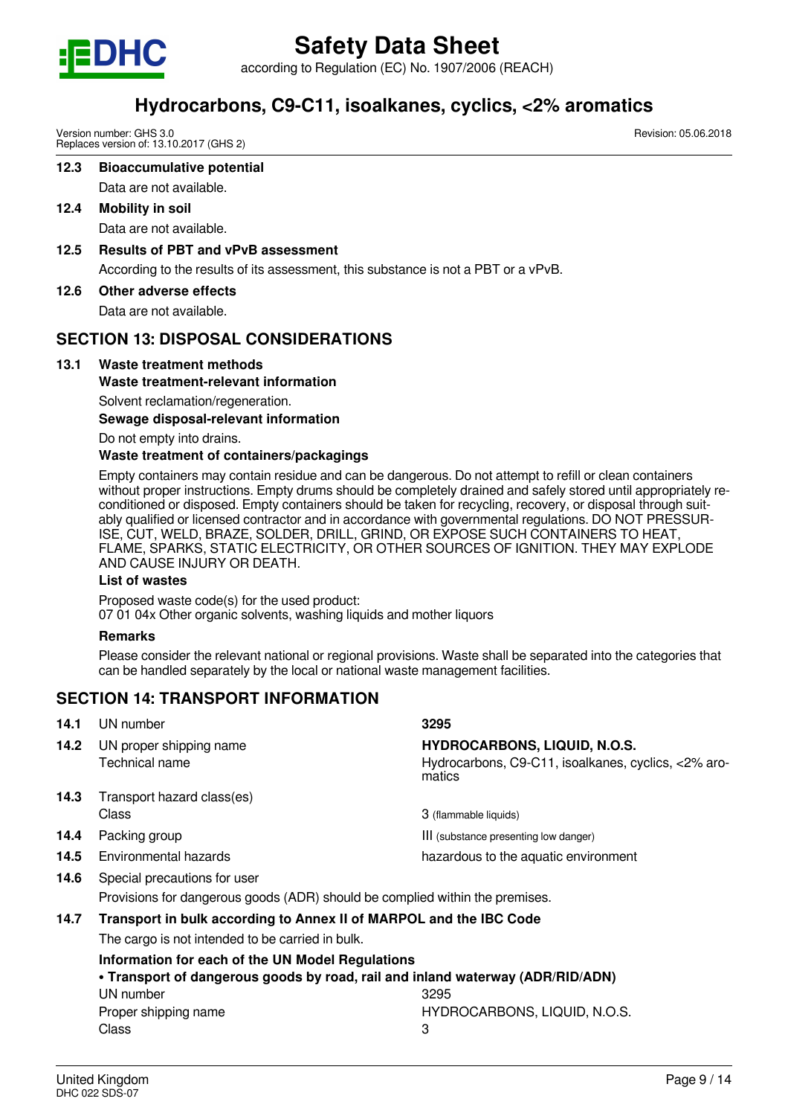

according to Regulation (EC) No. 1907/2006 (REACH)

# **Hydrocarbons, C9-C11, isoalkanes, cyclics, <2% aromatics**

Version number: GHS 3.0 Replaces version of: 13.10.2017 (GHS 2)

# **12.3 Bioaccumulative potential**

Data are not available.

**12.4 Mobility in soil**

Data are not available.

**12.5 Results of PBT and vPvB assessment**

According to the results of its assessment, this substance is not a PBT or a vPvB.

**12.6 Other adverse effects**

Data are not available.

# **SECTION 13: DISPOSAL CONSIDERATIONS**

# **13.1 Waste treatment methods**

# **Waste treatment-relevant information**

Solvent reclamation/regeneration.

**Sewage disposal-relevant information**

Do not empty into drains.

# **Waste treatment of containers/packagings**

Empty containers may contain residue and can be dangerous. Do not attempt to refill or clean containers without proper instructions. Empty drums should be completely drained and safely stored until appropriately reconditioned or disposed. Empty containers should be taken for recycling, recovery, or disposal through suitably qualified or licensed contractor and in accordance with governmental regulations. DO NOT PRESSUR-ISE, CUT, WELD, BRAZE, SOLDER, DRILL, GRIND, OR EXPOSE SUCH CONTAINERS TO HEAT, FLAME, SPARKS, STATIC ELECTRICITY, OR OTHER SOURCES OF IGNITION. THEY MAY EXPLODE AND CAUSE INJURY OR DEATH.

# **List of wastes**

Proposed waste code(s) for the used product: 07 01 04x Other organic solvents, washing liquids and mother liquors

# **Remarks**

Please consider the relevant national or regional provisions. Waste shall be separated into the categories that can be handled separately by the local or national waste management facilities.

# **SECTION 14: TRANSPORT INFORMATION**

| 14.1 | UN number                                                                    | 3295                                                                                                 |  |
|------|------------------------------------------------------------------------------|------------------------------------------------------------------------------------------------------|--|
| 14.2 | UN proper shipping name<br>Technical name                                    | <b>HYDROCARBONS, LIQUID, N.O.S.</b><br>Hydrocarbons, C9-C11, isoalkanes, cyclics, <2% aro-<br>matics |  |
| 14.3 | Transport hazard class(es)                                                   |                                                                                                      |  |
|      | Class                                                                        | 3 (flammable liquids)                                                                                |  |
| 14.4 | Packing group                                                                | III (substance presenting low danger)                                                                |  |
| 14.5 | Environmental hazards                                                        | hazardous to the aquatic environment                                                                 |  |
| 14.6 | Special precautions for user                                                 |                                                                                                      |  |
|      | Provisions for dangerous goods (ADR) should be complied within the premises. |                                                                                                      |  |
| 14.7 | Transport in bulk according to Annex II of MARPOL and the IBC Code           |                                                                                                      |  |
|      | The cargo is not intended to be carried in bulk.                             |                                                                                                      |  |

**Information for each of the UN Model Regulations • Transport of dangerous goods by road, rail and inland waterway (ADR/RID/ADN)** UN number 3295 Proper shipping name **HYDROCARBONS, LIQUID, N.O.S.** Class 3

Revision: 05.06.2018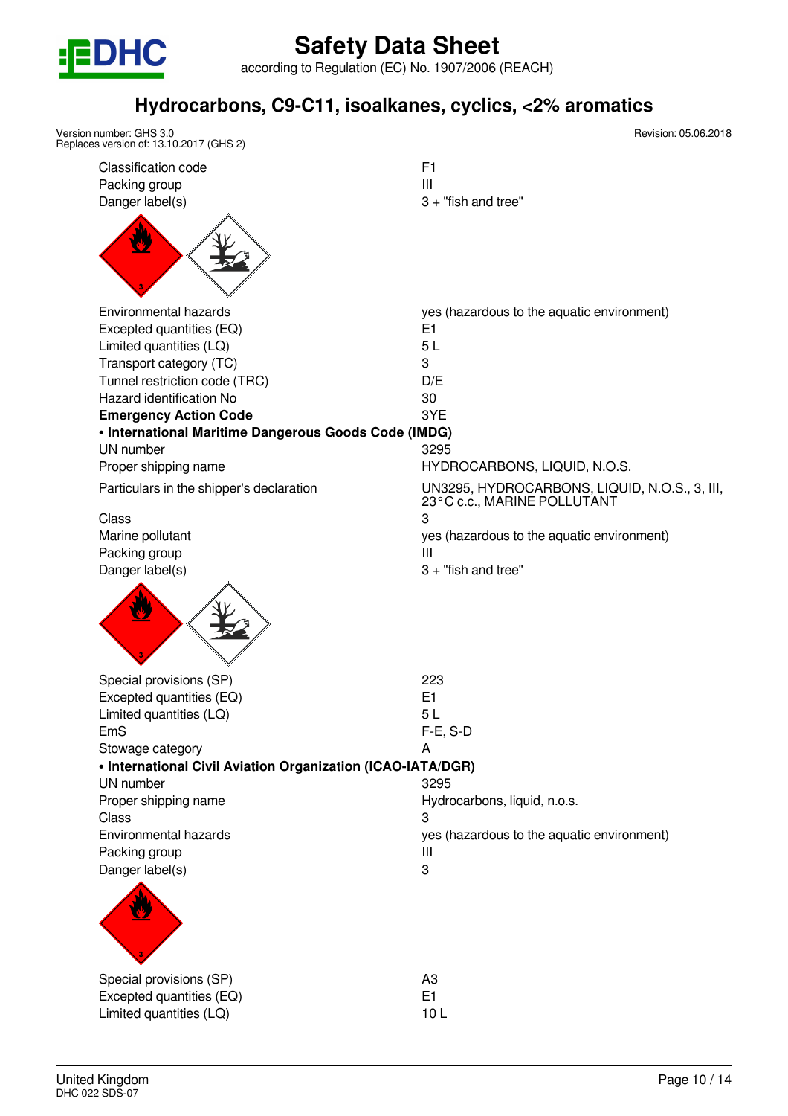

according to Regulation (EC) No. 1907/2006 (REACH)

# **Hydrocarbons, C9-C11, isoalkanes, cyclics, <2% aromatics**

| Version number: GHS 3.0<br>Replaces version of: 13.10.2017 (GHS 2) | Revision: 05.06.2018                                                         |
|--------------------------------------------------------------------|------------------------------------------------------------------------------|
| <b>Classification code</b>                                         | F <sub>1</sub>                                                               |
| Packing group                                                      | Ш                                                                            |
| Danger label(s)                                                    | $3 +$ "fish and tree"                                                        |
|                                                                    |                                                                              |
| Environmental hazards                                              | yes (hazardous to the aquatic environment)                                   |
| Excepted quantities (EQ)                                           | E <sub>1</sub>                                                               |
| Limited quantities (LQ)                                            | 5L                                                                           |
| Transport category (TC)                                            | 3                                                                            |
| Tunnel restriction code (TRC)                                      | D/E                                                                          |
| Hazard identification No                                           | 30                                                                           |
| <b>Emergency Action Code</b>                                       | 3YE                                                                          |
| • International Maritime Dangerous Goods Code (IMDG)               |                                                                              |
| UN number                                                          | 3295                                                                         |
| Proper shipping name                                               | HYDROCARBONS, LIQUID, N.O.S.                                                 |
| Particulars in the shipper's declaration                           | UN3295, HYDROCARBONS, LIQUID, N.O.S., 3, III,<br>23°C c.c., MARINE POLLUTANT |
| Class                                                              | 3                                                                            |
| Marine pollutant                                                   | yes (hazardous to the aquatic environment)                                   |
| Packing group                                                      | Ш                                                                            |
|                                                                    |                                                                              |
| Special provisions (SP)                                            | 223                                                                          |
| Excepted quantities (EQ)                                           | E1                                                                           |
| Limited quantities (LQ)                                            | 5 <sub>L</sub>                                                               |
| EmS                                                                | $F-E$ , S-D                                                                  |
| Stowage category                                                   | A                                                                            |
| • International Civil Aviation Organization (ICAO-IATA/DGR)        |                                                                              |
| UN number                                                          | 3295                                                                         |
| Proper shipping name                                               | Hydrocarbons, liquid, n.o.s.                                                 |
| Class                                                              | 3                                                                            |
| Environmental hazards                                              | yes (hazardous to the aquatic environment)                                   |
| Packing group                                                      | Ш                                                                            |
| Danger label(s)                                                    | 3                                                                            |
|                                                                    |                                                                              |
| Special provisions (SP)                                            | A <sub>3</sub>                                                               |
| Excepted quantities (EQ)                                           | E <sub>1</sub>                                                               |
| Limited quantities (LQ)                                            | 10L                                                                          |
|                                                                    |                                                                              |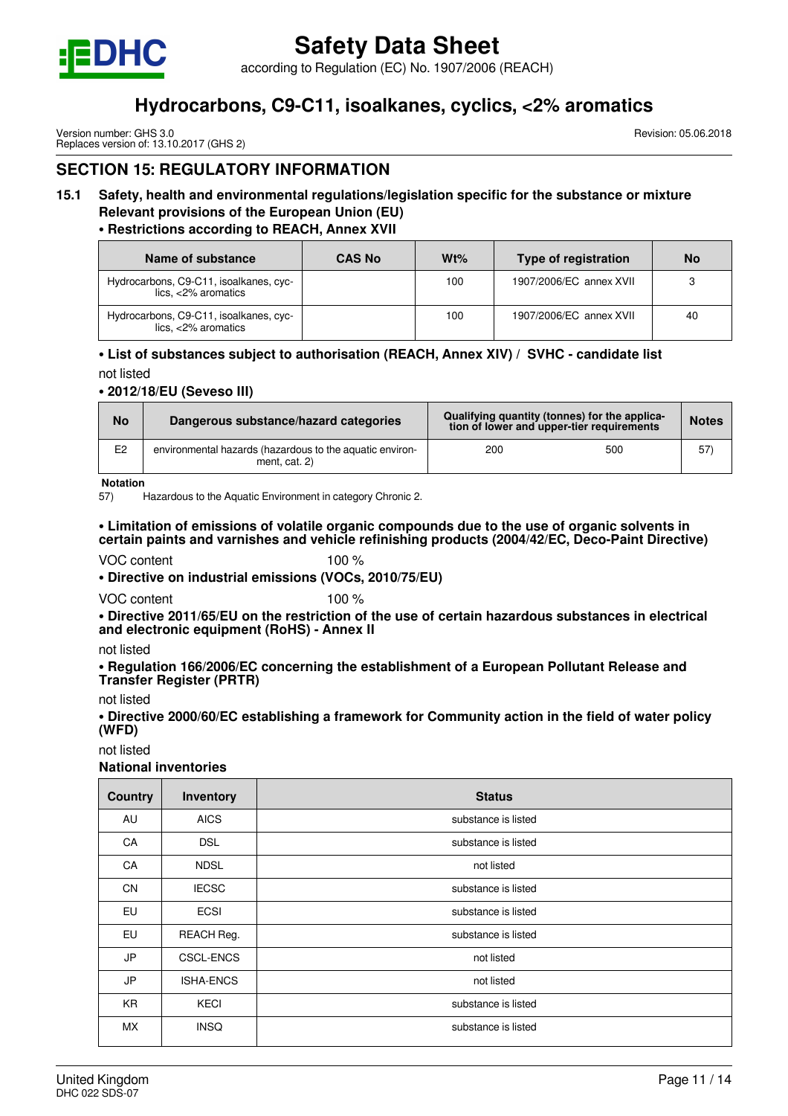

according to Regulation (EC) No. 1907/2006 (REACH)

# **Hydrocarbons, C9-C11, isoalkanes, cyclics, <2% aromatics**

Version number: GHS 3.0 Replaces version of: 13.10.2017 (GHS 2) Revision: 05.06.2018

# **SECTION 15: REGULATORY INFORMATION**

# **15.1 Safety, health and environmental regulations/legislation specific for the substance or mixture Relevant provisions of the European Union (EU)**

# **• Restrictions according to REACH, Annex XVII**

| Name of substance                                                 | <b>CAS No</b> | Wt% | Type of registration    | <b>No</b> |
|-------------------------------------------------------------------|---------------|-----|-------------------------|-----------|
| Hydrocarbons, C9-C11, isoalkanes, cyc-<br>$lics. < 2\%$ aromatics |               | 100 | 1907/2006/EC annex XVII | 3         |
| Hydrocarbons, C9-C11, isoalkanes, cyc-<br>$lics, <2\%$ aromatics  |               | 100 | 1907/2006/EC annex XVII | 40        |

# **• List of substances subject to authorisation (REACH, Annex XIV) / SVHC - candidate list**

not listed

#### **• 2012/18/EU (Seveso III)**

| <b>No</b>      | Dangerous substance/hazard categories                                       | Qualifying quantity (tonnes) for the applica-<br>tion of lower and upper-tier requirements |     | <b>Notes</b> |
|----------------|-----------------------------------------------------------------------------|--------------------------------------------------------------------------------------------|-----|--------------|
| E <sub>2</sub> | environmental hazards (hazardous to the aquatic environ-<br>ment. $cat. 2)$ | 200                                                                                        | 500 | 57           |

**Notation**

57) Hazardous to the Aquatic Environment in category Chronic 2.

### **• Limitation of emissions of volatile organic compounds due to the use of organic solvents in certain paints and varnishes and vehicle refinishing products (2004/42/EC, Deco-Paint Directive)**

### VOC content 100 %

**• Directive on industrial emissions (VOCs, 2010/75/EU)**

VOC content 100 %

**• Directive 2011/65/EU on the restriction of the use of certain hazardous substances in electrical and electronic equipment (RoHS) - Annex II**

not listed

**• Regulation 166/2006/EC concerning the establishment of a European Pollutant Release and Transfer Register (PRTR)**

not listed

**• Directive 2000/60/EC establishing a framework for Community action in the field of water policy (WFD)**

not listed

**National inventories**

| <b>Country</b> | Inventory        | <b>Status</b>       |
|----------------|------------------|---------------------|
| AU             | <b>AICS</b>      | substance is listed |
| CA             | <b>DSL</b>       | substance is listed |
| CA             | <b>NDSL</b>      | not listed          |
| <b>CN</b>      | <b>IECSC</b>     | substance is listed |
| EU             | <b>ECSI</b>      | substance is listed |
| EU             | REACH Reg.       | substance is listed |
| JP             | <b>CSCL-ENCS</b> | not listed          |
| JP             | <b>ISHA-ENCS</b> | not listed          |
| <b>KR</b>      | <b>KECI</b>      | substance is listed |
| <b>MX</b>      | <b>INSQ</b>      | substance is listed |
|                |                  |                     |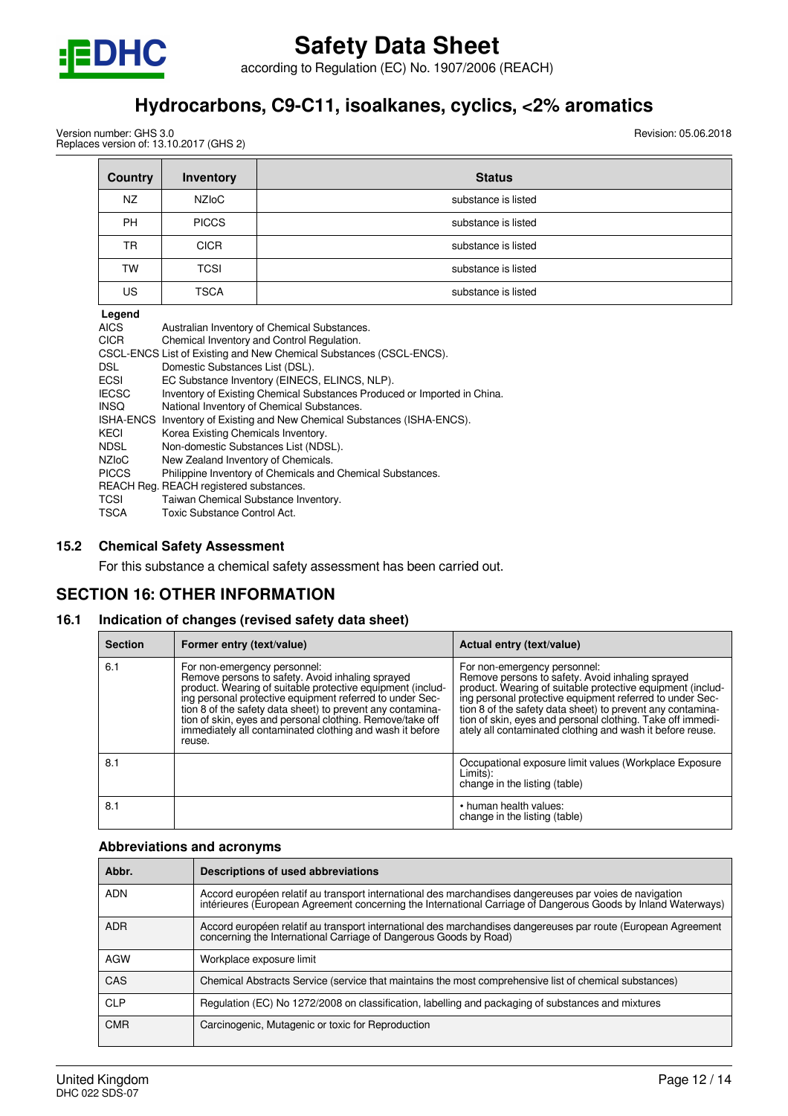

according to Regulation (EC) No. 1907/2006 (REACH)

# **Hydrocarbons, C9-C11, isoalkanes, cyclics, <2% aromatics**

Version number: GHS 3.0 Replaces version of: 13.10.2017 (GHS 2) Revision: 05.06.2018

| <b>Country</b> | Inventory    | <b>Status</b>       |
|----------------|--------------|---------------------|
| NZ             | <b>NZIOC</b> | substance is listed |
| PH             | <b>PICCS</b> | substance is listed |
| TR             | <b>CICR</b>  | substance is listed |
| TW             | <b>TCSI</b>  | substance is listed |
| US             | <b>TSCA</b>  | substance is listed |

| Legend             |                                                                          |
|--------------------|--------------------------------------------------------------------------|
| AICS               | Australian Inventory of Chemical Substances.                             |
| <b>CICR</b>        | Chemical Inventory and Control Regulation.                               |
|                    | CSCL-ENCS List of Existing and New Chemical Substances (CSCL-ENCS).      |
| DSL.               | Domestic Substances List (DSL).                                          |
| ECSI               | EC Substance Inventory (EINECS, ELINCS, NLP).                            |
| <b>IECSC</b>       | Inventory of Existing Chemical Substances Produced or Imported in China. |
| <b>INSO</b>        | National Inventory of Chemical Substances.                               |
|                    | ISHA-ENCS Inventory of Existing and New Chemical Substances (ISHA-ENCS). |
| KECI               | Korea Existing Chemicals Inventory.                                      |
| NDSL               | Non-domestic Substances List (NDSL).                                     |
| NZI <sub>o</sub> C | New Zealand Inventory of Chemicals.                                      |
| <b>PICCS</b>       | Philippine Inventory of Chemicals and Chemical Substances.               |
|                    | REACH Reg. REACH registered substances.                                  |
| TCSI               | Taiwan Chemical Substance Inventory.                                     |
| TSCA               | Toxic Substance Control Act.                                             |

#### **15.2 Chemical Safety Assessment**

For this substance a chemical safety assessment has been carried out.

# **SECTION 16: OTHER INFORMATION**

## **16.1 Indication of changes (revised safety data sheet)**

| <b>Section</b> | Former entry (text/value)                                                                                                                                                                                                                                                                                                                                                                                   | Actual entry (text/value)                                                                                                                                                                                                                                                                                                                                                                           |
|----------------|-------------------------------------------------------------------------------------------------------------------------------------------------------------------------------------------------------------------------------------------------------------------------------------------------------------------------------------------------------------------------------------------------------------|-----------------------------------------------------------------------------------------------------------------------------------------------------------------------------------------------------------------------------------------------------------------------------------------------------------------------------------------------------------------------------------------------------|
| 6.1            | For non-emergency personnel:<br>Remove persons to safety. Avoid inhaling sprayed<br>product. Wearing of suitable protective equipment (includ-<br>ing personal protective equipment referred to under Sec-<br>tion 8 of the safety data sheet) to prevent any contamina-<br>tion of skin, eyes and personal clothing. Remove/take off<br>immediately all contaminated clothing and wash it before<br>reuse. | For non-emergency personnel:<br>Remove persons to safety. Avoid inhaling sprayed<br>product. Wearing of suitable protective equipment (includ-<br>ing personal protective equipment referred to under Sec-<br>tion 8 of the safety data sheet) to prevent any contamina-<br>tion of skin, eyes and personal clothing. Take off immedi-<br>ately all contaminated clothing and wash it before reuse. |
| 8.1            |                                                                                                                                                                                                                                                                                                                                                                                                             | Occupational exposure limit values (Workplace Exposure<br>Limits):<br>change in the listing (table)                                                                                                                                                                                                                                                                                                 |
| 8.1            |                                                                                                                                                                                                                                                                                                                                                                                                             | • human health values:<br>change in the listing (table)                                                                                                                                                                                                                                                                                                                                             |

## **Abbreviations and acronyms**

| Abbr.      | Descriptions of used abbreviations                                                                                                                                                                                       |
|------------|--------------------------------------------------------------------------------------------------------------------------------------------------------------------------------------------------------------------------|
| <b>ADN</b> | Accord européen relatif au transport international des marchandises dangereuses par voies de navigation<br>intérieures (European Agreement concerning the International Carriage of Dangerous Goods by Inland Waterways) |
| <b>ADR</b> | Accord européen relatif au transport international des marchandises dangereuses par route (European Agreement<br>concerning the International Carriage of Dangerous Goods by Road)                                       |
| <b>AGW</b> | Workplace exposure limit                                                                                                                                                                                                 |
| CAS        | Chemical Abstracts Service (service that maintains the most comprehensive list of chemical substances)                                                                                                                   |
| <b>CLP</b> | Regulation (EC) No 1272/2008 on classification, labelling and packaging of substances and mixtures                                                                                                                       |
| <b>CMR</b> | Carcinogenic, Mutagenic or toxic for Reproduction                                                                                                                                                                        |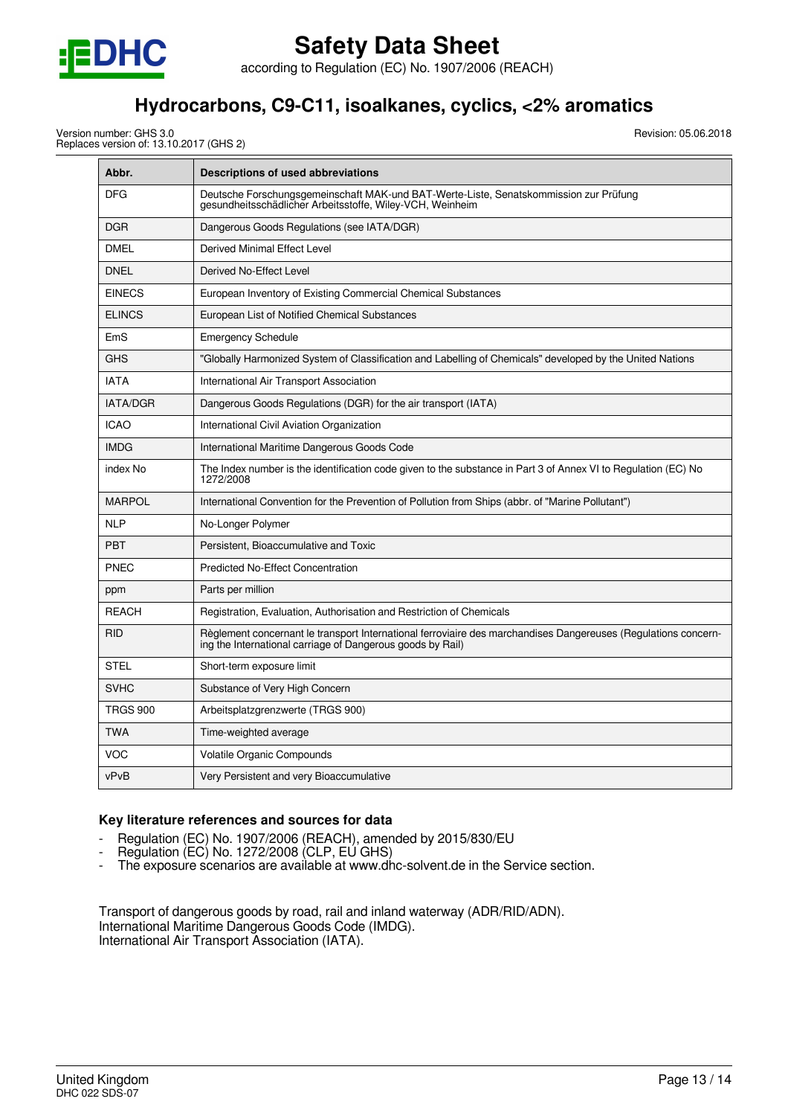

according to Regulation (EC) No. 1907/2006 (REACH)

# **Hydrocarbons, C9-C11, isoalkanes, cyclics, <2% aromatics**

Version number: GHS 3.0 Replaces version of: 13.10.2017 (GHS 2) Revision: 05.06.2018

| Abbr.           | <b>Descriptions of used abbreviations</b>                                                                                                                                    |
|-----------------|------------------------------------------------------------------------------------------------------------------------------------------------------------------------------|
| <b>DFG</b>      | Deutsche Forschungsgemeinschaft MAK-und BAT-Werte-Liste, Senatskommission zur Prüfung<br>gesundheitsschädlicher Arbeitsstoffe, Wiley-VCH, Weinheim                           |
| <b>DGR</b>      | Dangerous Goods Regulations (see IATA/DGR)                                                                                                                                   |
| <b>DMEL</b>     | Derived Minimal Effect Level                                                                                                                                                 |
| <b>DNEL</b>     | Derived No-Effect Level                                                                                                                                                      |
| <b>EINECS</b>   | European Inventory of Existing Commercial Chemical Substances                                                                                                                |
| <b>ELINCS</b>   | European List of Notified Chemical Substances                                                                                                                                |
| EmS             | <b>Emergency Schedule</b>                                                                                                                                                    |
| <b>GHS</b>      | "Globally Harmonized System of Classification and Labelling of Chemicals" developed by the United Nations                                                                    |
| <b>IATA</b>     | International Air Transport Association                                                                                                                                      |
| <b>IATA/DGR</b> | Dangerous Goods Regulations (DGR) for the air transport (IATA)                                                                                                               |
| <b>ICAO</b>     | International Civil Aviation Organization                                                                                                                                    |
| <b>IMDG</b>     | International Maritime Dangerous Goods Code                                                                                                                                  |
| index No        | The Index number is the identification code given to the substance in Part 3 of Annex VI to Regulation (EC) No<br>1272/2008                                                  |
| <b>MARPOL</b>   | International Convention for the Prevention of Pollution from Ships (abbr. of "Marine Pollutant")                                                                            |
| <b>NLP</b>      | No-Longer Polymer                                                                                                                                                            |
| <b>PBT</b>      | Persistent. Bioaccumulative and Toxic                                                                                                                                        |
| <b>PNEC</b>     | <b>Predicted No-Effect Concentration</b>                                                                                                                                     |
| ppm             | Parts per million                                                                                                                                                            |
| <b>REACH</b>    | Registration, Evaluation, Authorisation and Restriction of Chemicals                                                                                                         |
| <b>RID</b>      | Règlement concernant le transport International ferroviaire des marchandises Dangereuses (Regulations concern-<br>ing the International carriage of Dangerous goods by Rail) |
| <b>STEL</b>     | Short-term exposure limit                                                                                                                                                    |
| <b>SVHC</b>     | Substance of Very High Concern                                                                                                                                               |
| <b>TRGS 900</b> | Arbeitsplatzgrenzwerte (TRGS 900)                                                                                                                                            |
| <b>TWA</b>      | Time-weighted average                                                                                                                                                        |
| VOC             | Volatile Organic Compounds                                                                                                                                                   |
| vPvB            | Very Persistent and very Bioaccumulative                                                                                                                                     |

# **Key literature references and sources for data**

- Regulation (EC) No. 1907/2006 (REACH), amended by 2015/830/EU
- Regulation (EC) No. 1272/2008 (CLP, EU GHS)
- The exposure scenarios are available at www.dhc-solvent.de in the Service section.

Transport of dangerous goods by road, rail and inland waterway (ADR/RID/ADN). International Maritime Dangerous Goods Code (IMDG). International Air Transport Association (IATA).